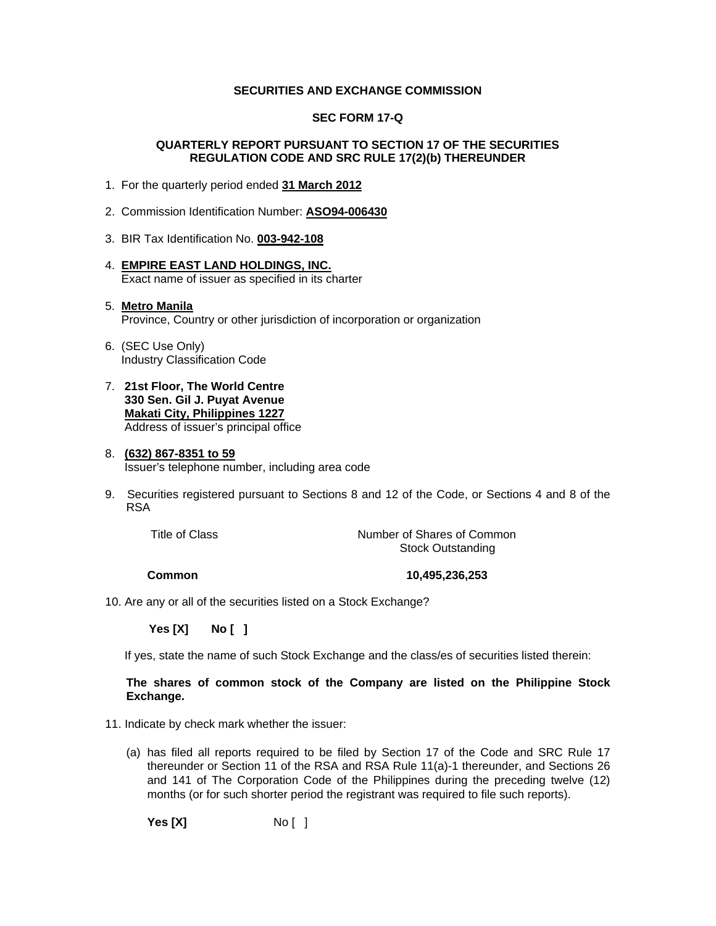#### **SECURITIES AND EXCHANGE COMMISSION**

#### **SEC FORM 17-Q**

#### **QUARTERLY REPORT PURSUANT TO SECTION 17 OF THE SECURITIES REGULATION CODE AND SRC RULE 17(2)(b) THEREUNDER**

- 1. For the quarterly period ended **31 March 2012**
- 2. Commission Identification Number: **ASO94-006430**
- 3. BIR Tax Identification No. **003-942-108**
- 4. **EMPIRE EAST LAND HOLDINGS, INC.** Exact name of issuer as specified in its charter

#### 5. **Metro Manila** Province, Country or other jurisdiction of incorporation or organization

- 6. (SEC Use Only) Industry Classification Code
- 7. **21st Floor, The World Centre 330 Sen. Gil J. Puyat Avenue Makati City, Philippines 1227** Address of issuer's principal office

#### 8. **(632) 867-8351 to 59** Issuer's telephone number, including area code

9. Securities registered pursuant to Sections 8 and 12 of the Code, or Sections 4 and 8 of the RSA

Title of Class Title of Common Number of Shares of Common Stock Outstanding

 **Common 10,495,236,253** 

10. Are any or all of the securities listed on a Stock Exchange?

 **Yes [X] No [ ]**

If yes, state the name of such Stock Exchange and the class/es of securities listed therein:

#### **The shares of common stock of the Company are listed on the Philippine Stock Exchange.**

- 11. Indicate by check mark whether the issuer:
	- (a) has filed all reports required to be filed by Section 17 of the Code and SRC Rule 17 thereunder or Section 11 of the RSA and RSA Rule 11(a)-1 thereunder, and Sections 26 and 141 of The Corporation Code of the Philippines during the preceding twelve (12) months (or for such shorter period the registrant was required to file such reports).

**Yes [X]** No [ ]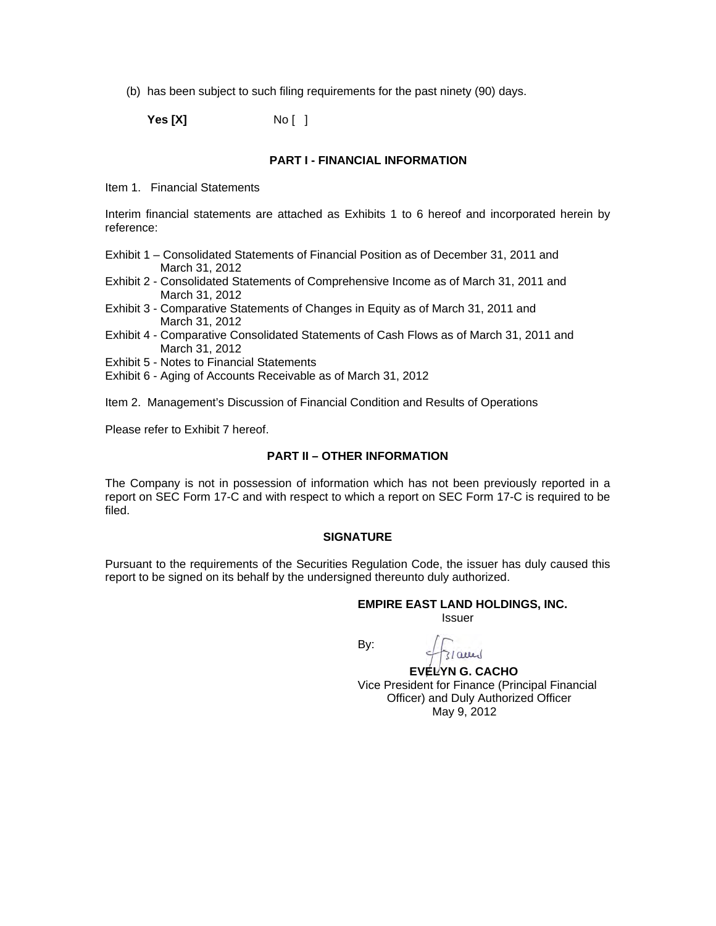(b) has been subject to such filing requirements for the past ninety (90) days.

**Yes [X]** No [ ]

#### **PART I - FINANCIAL INFORMATION**

Item 1. Financial Statements

Interim financial statements are attached as Exhibits 1 to 6 hereof and incorporated herein by reference:

- Exhibit 1 Consolidated Statements of Financial Position as of December 31, 2011 and March 31, 2012
- Exhibit 2 Consolidated Statements of Comprehensive Income as of March 31, 2011 and March 31, 2012
- Exhibit 3 Comparative Statements of Changes in Equity as of March 31, 2011 and March 31, 2012
- Exhibit 4 Comparative Consolidated Statements of Cash Flows as of March 31, 2011 and March 31, 2012
- Exhibit 5 Notes to Financial Statements
- Exhibit 6 Aging of Accounts Receivable as of March 31, 2012

Item 2. Management's Discussion of Financial Condition and Results of Operations

Please refer to Exhibit 7 hereof.

### **PART II – OTHER INFORMATION**

The Company is not in possession of information which has not been previously reported in a report on SEC Form 17-C and with respect to which a report on SEC Form 17-C is required to be filed.

#### **SIGNATURE**

Pursuant to the requirements of the Securities Regulation Code, the issuer has duly caused this report to be signed on its behalf by the undersigned thereunto duly authorized.

 **EMPIRE EAST LAND HOLDINGS, INC.**  *<u>Issuer</u> Issuer Issuer* 

**By: By:** 

3/auer **EVELYN G. CACHO**  Vice President for Finance (Principal Financial Officer) and Duly Authorized Officer May 9, 2012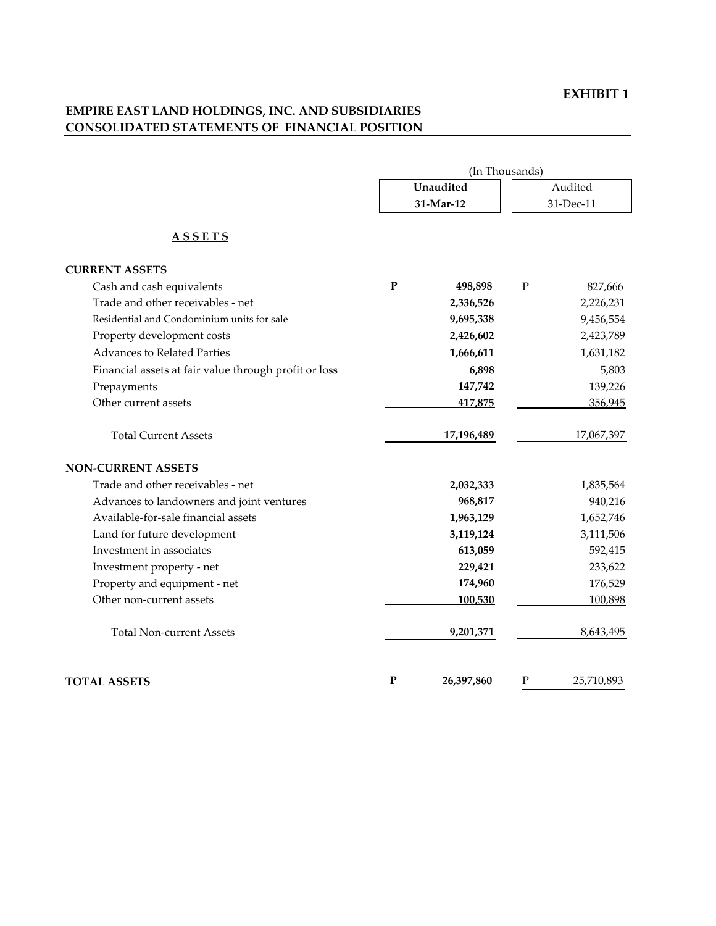# **EMPIRE EAST LAND HOLDINGS, INC. AND SUBSIDIARIES CONSOLIDATED STATEMENTS OF FINANCIAL POSITION**

|                                                       | (In Thousands) |            |           |            |  |
|-------------------------------------------------------|----------------|------------|-----------|------------|--|
|                                                       |                | Unaudited  |           | Audited    |  |
|                                                       |                | 31-Mar-12  |           | 31-Dec-11  |  |
| <b>ASSETS</b>                                         |                |            |           |            |  |
| <b>CURRENT ASSETS</b>                                 |                |            |           |            |  |
| Cash and cash equivalents                             | ${\bf P}$      | 498,898    | ${\bf P}$ | 827,666    |  |
| Trade and other receivables - net                     |                | 2,336,526  |           | 2,226,231  |  |
| Residential and Condominium units for sale            |                | 9,695,338  |           | 9,456,554  |  |
| Property development costs                            |                | 2,426,602  |           | 2,423,789  |  |
| <b>Advances to Related Parties</b>                    |                | 1,666,611  |           | 1,631,182  |  |
| Financial assets at fair value through profit or loss |                | 6,898      |           | 5,803      |  |
| Prepayments                                           |                | 147,742    |           | 139,226    |  |
| Other current assets                                  |                | 417,875    |           | 356,945    |  |
| <b>Total Current Assets</b>                           |                | 17,196,489 |           | 17,067,397 |  |
| <b>NON-CURRENT ASSETS</b>                             |                |            |           |            |  |
| Trade and other receivables - net                     |                | 2,032,333  |           | 1,835,564  |  |
| Advances to landowners and joint ventures             |                | 968,817    |           | 940,216    |  |
| Available-for-sale financial assets                   |                | 1,963,129  |           | 1,652,746  |  |
| Land for future development                           |                | 3,119,124  |           | 3,111,506  |  |
| Investment in associates                              |                | 613,059    |           | 592,415    |  |
| Investment property - net                             |                | 229,421    |           | 233,622    |  |
| Property and equipment - net                          |                | 174,960    |           | 176,529    |  |
| Other non-current assets                              |                | 100,530    |           | 100,898    |  |
| <b>Total Non-current Assets</b>                       |                | 9,201,371  |           | 8,643,495  |  |
| <b>TOTAL ASSETS</b>                                   | $\mathbf P$    | 26,397,860 | ${\bf P}$ | 25,710,893 |  |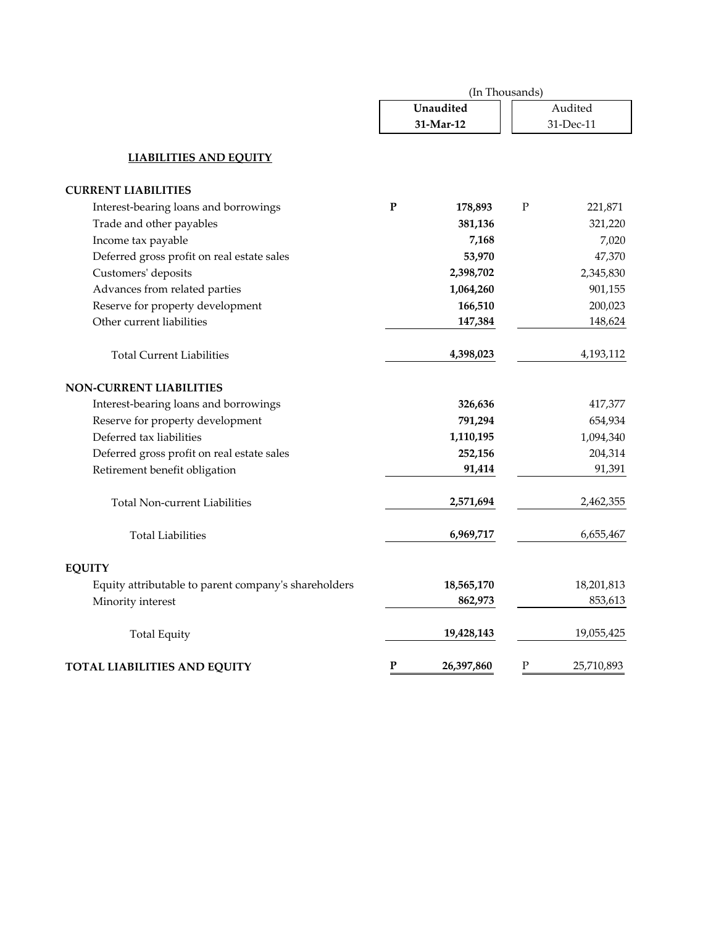|                                                      | (In Thousands) |                        |                      |            |  |
|------------------------------------------------------|----------------|------------------------|----------------------|------------|--|
|                                                      |                | Unaudited<br>31-Mar-12 | Audited<br>31-Dec-11 |            |  |
| <b>LIABILITIES AND EQUITY</b>                        |                |                        |                      |            |  |
| <b>CURRENT LIABILITIES</b>                           |                |                        |                      |            |  |
| Interest-bearing loans and borrowings                | P              | 178,893                | P                    | 221,871    |  |
| Trade and other payables                             |                | 381,136                |                      | 321,220    |  |
| Income tax payable                                   |                | 7,168                  |                      | 7,020      |  |
| Deferred gross profit on real estate sales           |                | 53,970                 |                      | 47,370     |  |
| Customers' deposits                                  |                | 2,398,702              |                      | 2,345,830  |  |
| Advances from related parties                        |                | 1,064,260              |                      | 901,155    |  |
| Reserve for property development                     |                | 166,510                |                      | 200,023    |  |
| Other current liabilities                            |                | 147,384                |                      | 148,624    |  |
| <b>Total Current Liabilities</b>                     |                | 4,398,023              |                      | 4,193,112  |  |
| <b>NON-CURRENT LIABILITIES</b>                       |                |                        |                      |            |  |
| Interest-bearing loans and borrowings                |                | 326,636                |                      | 417,377    |  |
| Reserve for property development                     |                | 791,294                |                      | 654,934    |  |
| Deferred tax liabilities                             |                | 1,110,195              |                      | 1,094,340  |  |
| Deferred gross profit on real estate sales           |                | 252,156                |                      | 204,314    |  |
| Retirement benefit obligation                        |                | 91,414                 |                      | 91,391     |  |
| <b>Total Non-current Liabilities</b>                 |                | 2,571,694              |                      | 2,462,355  |  |
| <b>Total Liabilities</b>                             |                | 6,969,717              |                      | 6,655,467  |  |
| <b>EQUITY</b>                                        |                |                        |                      |            |  |
| Equity attributable to parent company's shareholders |                | 18,565,170             |                      | 18,201,813 |  |
| Minority interest                                    |                | 862,973                |                      | 853,613    |  |
| <b>Total Equity</b>                                  |                | 19,428,143             |                      | 19,055,425 |  |
| <b>TOTAL LIABILITIES AND EQUITY</b>                  | P              | 26,397,860             | Ρ                    | 25,710,893 |  |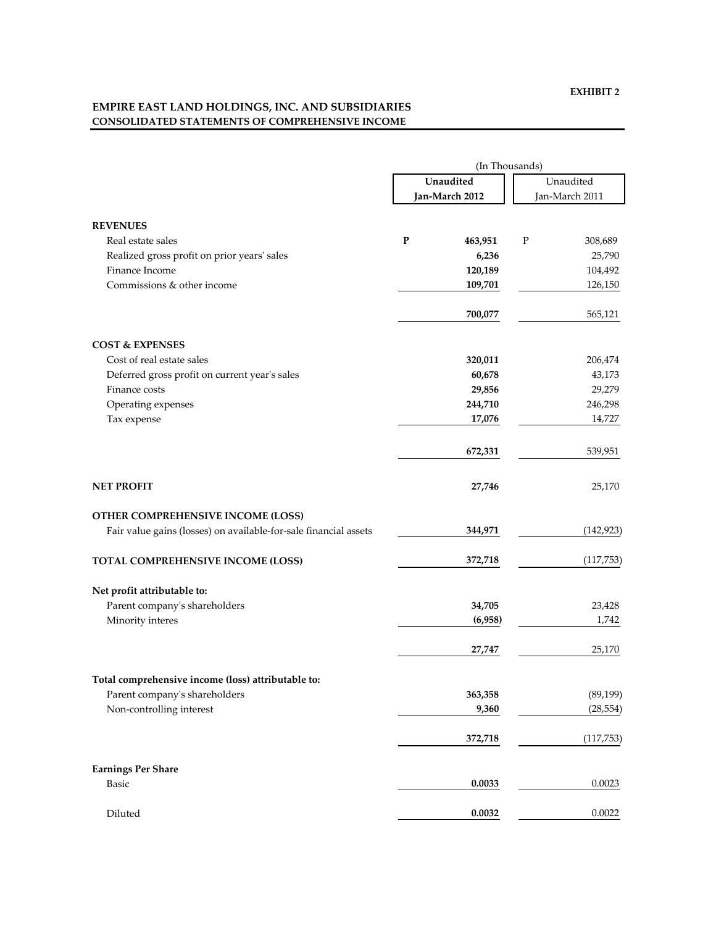# **EMPIRE EAST LAND HOLDINGS, INC. AND SUBSIDIARIES CONSOLIDATED STATEMENTS OF COMPREHENSIVE INCOME**

|                                                                  | (In Thousands) |                |           |                |  |
|------------------------------------------------------------------|----------------|----------------|-----------|----------------|--|
|                                                                  | Unaudited      |                | Unaudited |                |  |
|                                                                  |                | Jan-March 2012 |           | Jan-March 2011 |  |
| <b>REVENUES</b>                                                  |                |                |           |                |  |
| Real estate sales                                                | $\mathbf{P}$   | 463,951        | P         | 308,689        |  |
| Realized gross profit on prior years' sales                      |                | 6,236          |           | 25,790         |  |
| Finance Income                                                   |                | 120,189        |           | 104,492        |  |
| Commissions & other income                                       |                | 109,701        |           | 126,150        |  |
|                                                                  |                | 700,077        |           | 565,121        |  |
| <b>COST &amp; EXPENSES</b>                                       |                |                |           |                |  |
| Cost of real estate sales                                        |                | 320,011        |           | 206,474        |  |
| Deferred gross profit on current year's sales                    |                | 60,678         |           | 43,173         |  |
| Finance costs                                                    |                | 29,856         |           | 29,279         |  |
| Operating expenses                                               |                | 244,710        |           | 246,298        |  |
| Tax expense                                                      |                | 17,076         |           | 14,727         |  |
|                                                                  |                | 672,331        |           | 539,951        |  |
| <b>NET PROFIT</b>                                                |                | 27,746         |           | 25,170         |  |
| OTHER COMPREHENSIVE INCOME (LOSS)                                |                |                |           |                |  |
| Fair value gains (losses) on available-for-sale financial assets |                | 344,971        |           | (142, 923)     |  |
| <b>TOTAL COMPREHENSIVE INCOME (LOSS)</b>                         |                | 372,718        |           | (117, 753)     |  |
| Net profit attributable to:                                      |                |                |           |                |  |
| Parent company's shareholders                                    |                | 34,705         |           | 23,428         |  |
| Minority interes                                                 |                | (6,958)        |           | 1,742          |  |
|                                                                  |                | 27,747         |           | 25,170         |  |
| Total comprehensive income (loss) attributable to:               |                |                |           |                |  |
| Parent company's shareholders                                    |                | 363,358        |           | (89, 199)      |  |
| Non-controlling interest                                         |                | 9,360          |           | (28, 554)      |  |
|                                                                  |                | 372,718        |           | (117, 753)     |  |
| <b>Earnings Per Share</b>                                        |                |                |           |                |  |
| <b>Basic</b>                                                     |                | 0.0033         |           | 0.0023         |  |
| Diluted                                                          |                | 0.0032         |           | 0.0022         |  |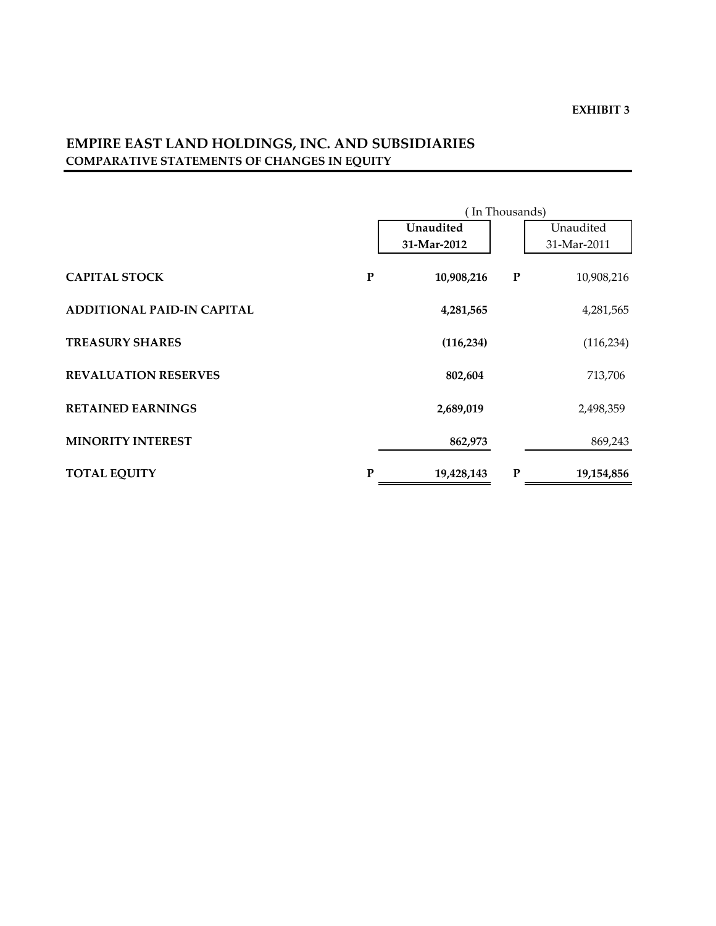# **EMPIRE EAST LAND HOLDINGS, INC. AND SUBSIDIARIES COMPARATIVE STATEMENTS OF CHANGES IN EQUITY**

|                                   |           | (In Thousands) |           |             |  |  |
|-----------------------------------|-----------|----------------|-----------|-------------|--|--|
|                                   |           | Unaudited      |           | Unaudited   |  |  |
|                                   |           | 31-Mar-2012    |           | 31-Mar-2011 |  |  |
| <b>CAPITAL STOCK</b>              | ${\bf P}$ | 10,908,216     | ${\bf P}$ | 10,908,216  |  |  |
| <b>ADDITIONAL PAID-IN CAPITAL</b> |           | 4,281,565      |           | 4,281,565   |  |  |
| <b>TREASURY SHARES</b>            |           | (116, 234)     |           | (116, 234)  |  |  |
| <b>REVALUATION RESERVES</b>       |           | 802,604        |           | 713,706     |  |  |
| <b>RETAINED EARNINGS</b>          |           | 2,689,019      |           | 2,498,359   |  |  |
| <b>MINORITY INTEREST</b>          |           | 862,973        |           | 869,243     |  |  |
| <b>TOTAL EQUITY</b>               | P         | 19,428,143     | P         | 19,154,856  |  |  |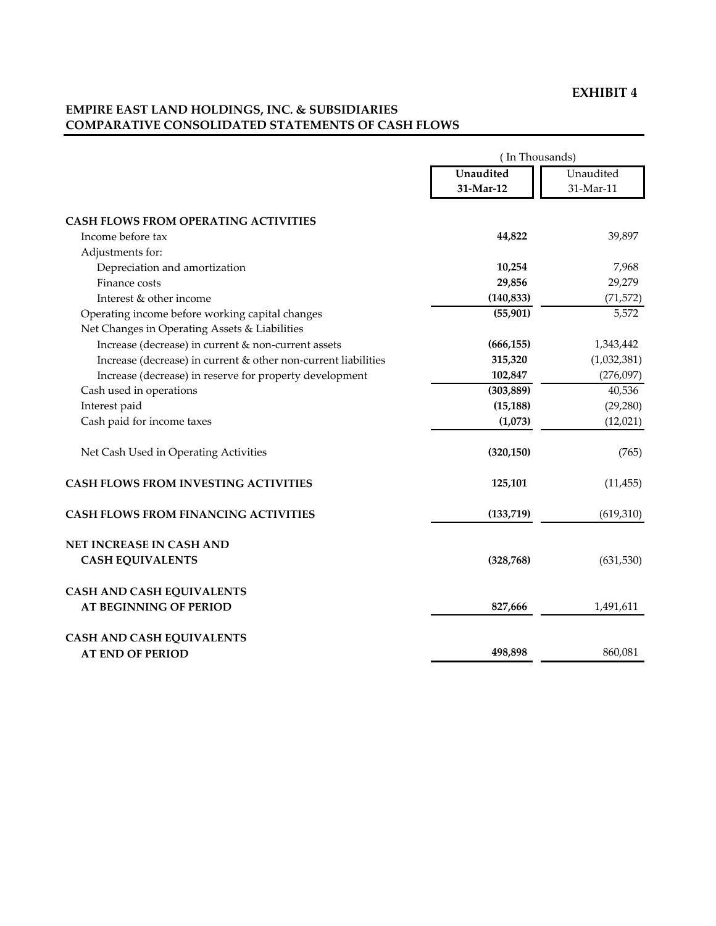# **EMPIRE EAST LAND HOLDINGS, INC. & SUBSIDIARIES COMPARATIVE CONSOLIDATED STATEMENTS OF CASH FLOWS**

|                                                                                                  | (In Thousands) |             |  |  |  |
|--------------------------------------------------------------------------------------------------|----------------|-------------|--|--|--|
|                                                                                                  | Unaudited      | Unaudited   |  |  |  |
|                                                                                                  | 31-Mar-12      | 31-Mar-11   |  |  |  |
| <b>CASH FLOWS FROM OPERATING ACTIVITIES</b>                                                      |                |             |  |  |  |
| Income before tax                                                                                | 44,822         | 39,897      |  |  |  |
| Adjustments for:                                                                                 |                |             |  |  |  |
| Depreciation and amortization                                                                    | 10,254         | 7,968       |  |  |  |
| Finance costs                                                                                    | 29,856         | 29,279      |  |  |  |
| Interest & other income                                                                          | (140, 833)     | (71, 572)   |  |  |  |
| Operating income before working capital changes<br>Net Changes in Operating Assets & Liabilities | (55, 901)      | 5,572       |  |  |  |
| Increase (decrease) in current & non-current assets                                              | (666, 155)     | 1,343,442   |  |  |  |
| Increase (decrease) in current & other non-current liabilities                                   | 315,320        | (1,032,381) |  |  |  |
| Increase (decrease) in reserve for property development                                          | 102,847        | (276,097)   |  |  |  |
| Cash used in operations                                                                          | (303, 889)     | 40,536      |  |  |  |
| Interest paid                                                                                    | (15, 188)      | (29, 280)   |  |  |  |
| Cash paid for income taxes                                                                       | (1,073)        | (12,021)    |  |  |  |
| Net Cash Used in Operating Activities                                                            | (320, 150)     | (765)       |  |  |  |
| <b>CASH FLOWS FROM INVESTING ACTIVITIES</b>                                                      | 125,101        | (11, 455)   |  |  |  |
| <b>CASH FLOWS FROM FINANCING ACTIVITIES</b>                                                      | (133,719)      | (619, 310)  |  |  |  |
| NET INCREASE IN CASH AND                                                                         |                |             |  |  |  |
| <b>CASH EQUIVALENTS</b>                                                                          | (328, 768)     | (631, 530)  |  |  |  |
| <b>CASH AND CASH EQUIVALENTS</b>                                                                 |                |             |  |  |  |
| <b>AT BEGINNING OF PERIOD</b>                                                                    | 827,666        | 1,491,611   |  |  |  |
| <b>CASH AND CASH EQUIVALENTS</b>                                                                 |                |             |  |  |  |
| <b>AT END OF PERIOD</b>                                                                          | 498,898        | 860,081     |  |  |  |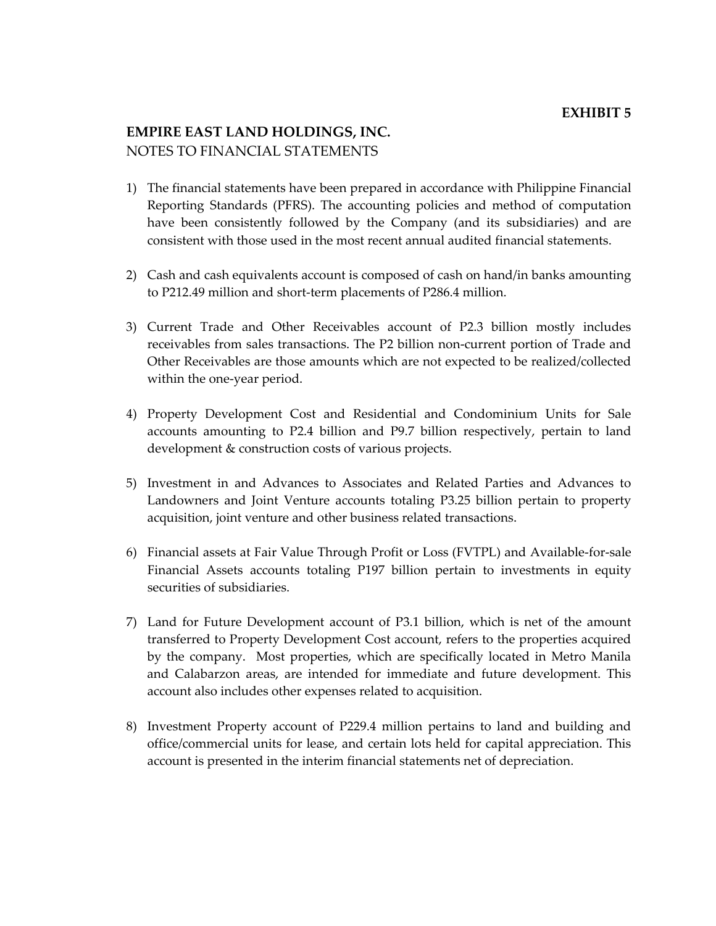# **EMPIRE EAST LAND HOLDINGS, INC.** NOTES TO FINANCIAL STATEMENTS

- 1) The financial statements have been prepared in accordance with Philippine Financial Reporting Standards (PFRS). The accounting policies and method of computation have been consistently followed by the Company (and its subsidiaries) and are consistent with those used in the most recent annual audited financial statements.
- 2) Cash and cash equivalents account is composed of cash on hand/in banks amounting to P212.49 million and short-term placements of P286.4 million.
- 3) Current Trade and Other Receivables account of P2.3 billion mostly includes receivables from sales transactions. The P2 billion non‐current portion of Trade and Other Receivables are those amounts which are not expected to be realized/collected within the one‐year period.
- 4) Property Development Cost and Residential and Condominium Units for Sale accounts amounting to P2.4 billion and P9.7 billion respectively, pertain to land development & construction costs of various projects.
- 5) Investment in and Advances to Associates and Related Parties and Advances to Landowners and Joint Venture accounts totaling P3.25 billion pertain to property acquisition, joint venture and other business related transactions.
- 6) Financial assets at Fair Value Through Profit or Loss (FVTPL) and Available‐for‐sale Financial Assets accounts totaling P197 billion pertain to investments in equity securities of subsidiaries.
- 7) Land for Future Development account of P3.1 billion, which is net of the amount transferred to Property Development Cost account, refers to the properties acquired by the company. Most properties, which are specifically located in Metro Manila and Calabarzon areas, are intended for immediate and future development. This account also includes other expenses related to acquisition.
- 8) Investment Property account of P229.4 million pertains to land and building and office/commercial units for lease, and certain lots held for capital appreciation. This account is presented in the interim financial statements net of depreciation.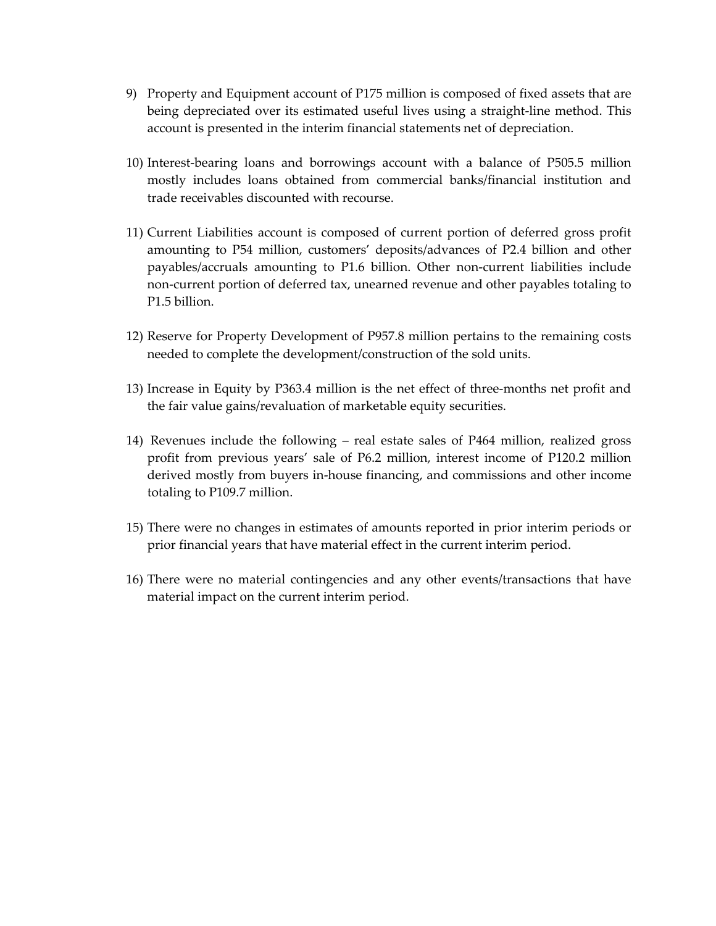- 9) Property and Equipment account of P175 million is composed of fixed assets that are being depreciated over its estimated useful lives using a straight‐line method. This account is presented in the interim financial statements net of depreciation.
- 10) Interest‐bearing loans and borrowings account with a balance of P505.5 million mostly includes loans obtained from commercial banks/financial institution and trade receivables discounted with recourse.
- 11) Current Liabilities account is composed of current portion of deferred gross profit amounting to P54 million, customers' deposits/advances of P2.4 billion and other payables/accruals amounting to P1.6 billion. Other non‐current liabilities include non‐current portion of deferred tax, unearned revenue and other payables totaling to P1.5 billion.
- 12) Reserve for Property Development of P957.8 million pertains to the remaining costs needed to complete the development/construction of the sold units.
- 13) Increase in Equity by P363.4 million is the net effect of three-months net profit and the fair value gains/revaluation of marketable equity securities.
- 14) Revenues include the following real estate sales of P464 million, realized gross profit from previous years' sale of P6.2 million, interest income of P120.2 million derived mostly from buyers in‐house financing, and commissions and other income totaling to P109.7 million.
- 15) There were no changes in estimates of amounts reported in prior interim periods or prior financial years that have material effect in the current interim period.
- 16) There were no material contingencies and any other events/transactions that have material impact on the current interim period.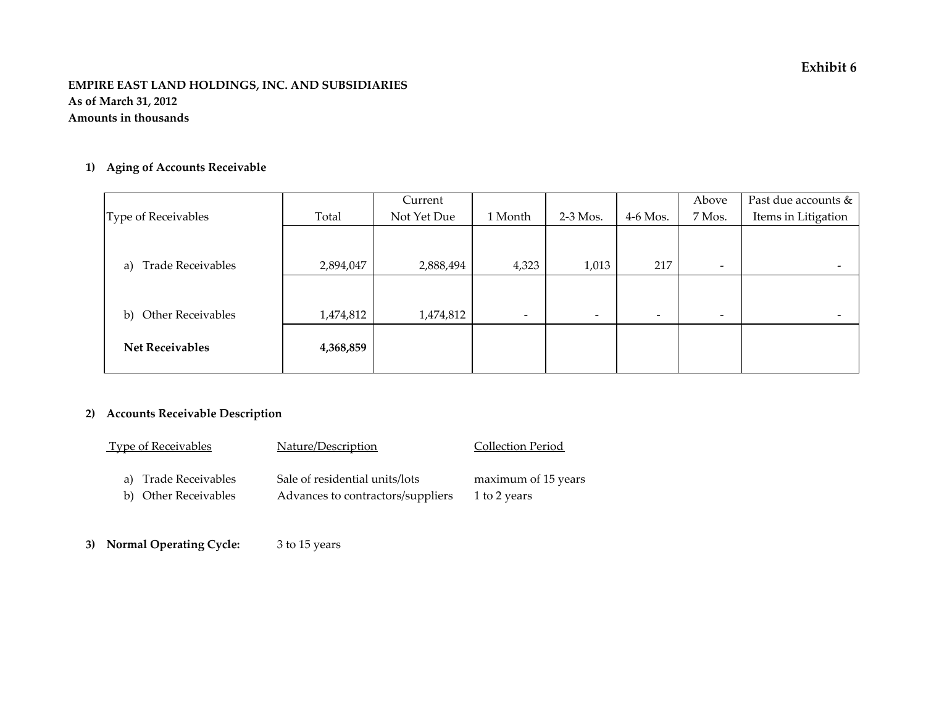### **EMPIRE EAST LAND HOLDINGS, INC. AND SUBSIDIARIES As of March 31, 2012 Amounts in thousands**

## **1) Aging of Accounts Receivable**

|                                |           | Current     |                          |                          |                          | Above                    | Past due accounts & |
|--------------------------------|-----------|-------------|--------------------------|--------------------------|--------------------------|--------------------------|---------------------|
| Type of Receivables            | Total     | Not Yet Due | 1 Month                  | $2-3$ Mos.               | $4-6$ Mos.               | 7 Mos.                   | Items in Litigation |
|                                |           |             |                          |                          |                          |                          |                     |
|                                |           |             |                          |                          |                          |                          |                     |
| <b>Trade Receivables</b><br>a) | 2,894,047 | 2,888,494   | 4,323                    | 1,013                    | 217                      | $\overline{\phantom{a}}$ |                     |
|                                |           |             |                          |                          |                          |                          |                     |
|                                |           |             |                          |                          |                          |                          |                     |
| <b>Other Receivables</b><br>b) | 1,474,812 | 1,474,812   | $\overline{\phantom{0}}$ | $\overline{\phantom{a}}$ | $\overline{\phantom{0}}$ | $\overline{\phantom{a}}$ |                     |
|                                |           |             |                          |                          |                          |                          |                     |
| <b>Net Receivables</b>         | 4,368,859 |             |                          |                          |                          |                          |                     |
|                                |           |             |                          |                          |                          |                          |                     |

# **2) Accounts Receivable Description**

| <b>Type of Receivables</b> | Nature/Description                | Collection Period   |
|----------------------------|-----------------------------------|---------------------|
| a) Trade Receivables       | Sale of residential units/lots    | maximum of 15 years |
| b) Other Receivables       | Advances to contractors/suppliers | 1 to 2 years        |

**3) Normal Operating Cycle:** <sup>3</sup> to 15 years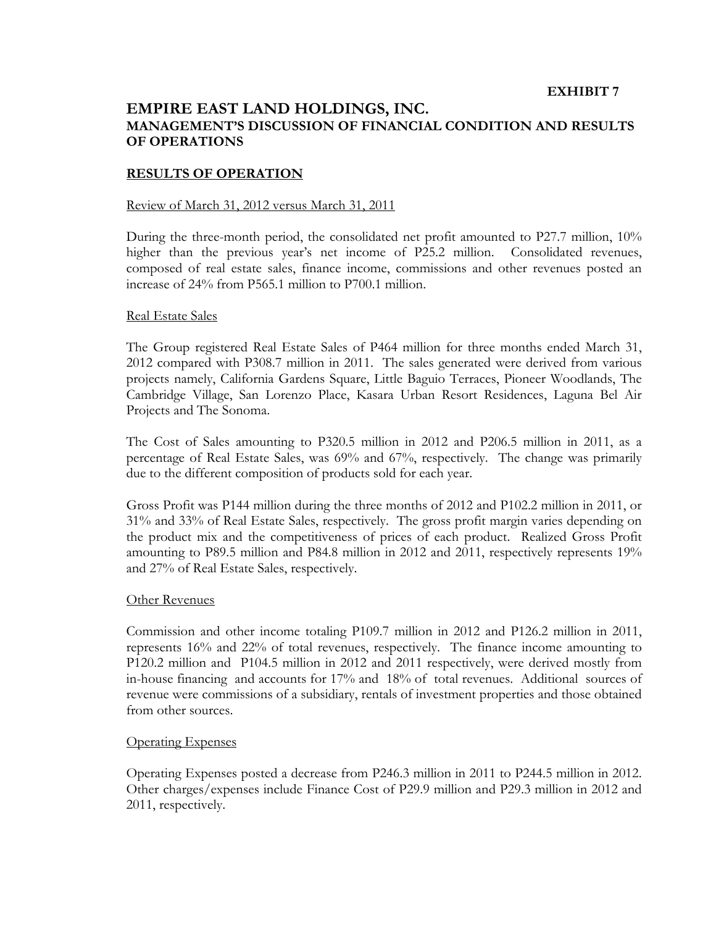# **EMPIRE EAST LAND HOLDINGS, INC. MANAGEMENT'S DISCUSSION OF FINANCIAL CONDITION AND RESULTS OF OPERATIONS**

### **RESULTS OF OPERATION**

#### Review of March 31, 2012 versus March 31, 2011

During the three-month period, the consolidated net profit amounted to P27.7 million, 10% higher than the previous year's net income of P25.2 million. Consolidated revenues, composed of real estate sales, finance income, commissions and other revenues posted an increase of 24% from P565.1 million to P700.1 million.

#### Real Estate Sales

The Group registered Real Estate Sales of P464 million for three months ended March 31, 2012 compared with P308.7 million in 2011. The sales generated were derived from various projects namely, California Gardens Square, Little Baguio Terraces, Pioneer Woodlands, The Cambridge Village, San Lorenzo Place, Kasara Urban Resort Residences, Laguna Bel Air Projects and The Sonoma.

The Cost of Sales amounting to P320.5 million in 2012 and P206.5 million in 2011, as a percentage of Real Estate Sales, was 69% and 67%, respectively. The change was primarily due to the different composition of products sold for each year.

Gross Profit was P144 million during the three months of 2012 and P102.2 million in 2011, or 31% and 33% of Real Estate Sales, respectively. The gross profit margin varies depending on the product mix and the competitiveness of prices of each product. Realized Gross Profit amounting to P89.5 million and P84.8 million in 2012 and 2011, respectively represents 19% and 27% of Real Estate Sales, respectively.

#### Other Revenues

Commission and other income totaling P109.7 million in 2012 and P126.2 million in 2011, represents 16% and 22% of total revenues, respectively. The finance income amounting to P120.2 million and P104.5 million in 2012 and 2011 respectively, were derived mostly from in-house financing and accounts for 17% and 18% of total revenues. Additional sources of revenue were commissions of a subsidiary, rentals of investment properties and those obtained from other sources.

### Operating Expenses

Operating Expenses posted a decrease from P246.3 million in 2011 to P244.5 million in 2012. Other charges/expenses include Finance Cost of P29.9 million and P29.3 million in 2012 and 2011, respectively.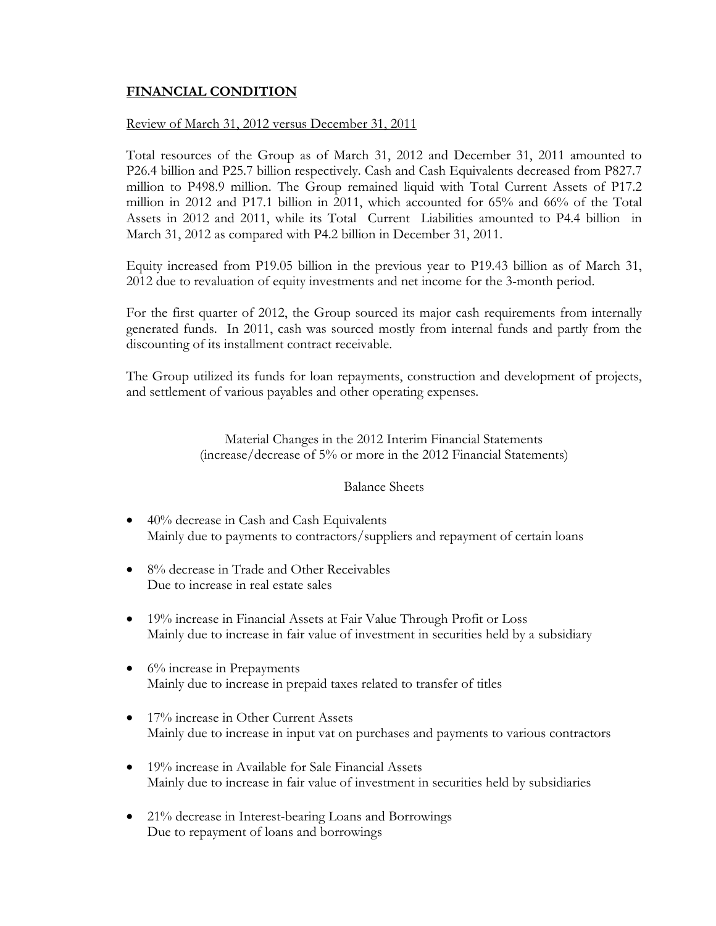# **FINANCIAL CONDITION**

### Review of March 31, 2012 versus December 31, 2011

Total resources of the Group as of March 31, 2012 and December 31, 2011 amounted to P26.4 billion and P25.7 billion respectively. Cash and Cash Equivalents decreased from P827.7 million to P498.9 million. The Group remained liquid with Total Current Assets of P17.2 million in 2012 and P17.1 billion in 2011, which accounted for 65% and 66% of the Total Assets in 2012 and 2011, while its Total Current Liabilities amounted to P4.4 billion in March 31, 2012 as compared with P4.2 billion in December 31, 2011.

Equity increased from P19.05 billion in the previous year to P19.43 billion as of March 31, 2012 due to revaluation of equity investments and net income for the 3-month period.

For the first quarter of 2012, the Group sourced its major cash requirements from internally generated funds. In 2011, cash was sourced mostly from internal funds and partly from the discounting of its installment contract receivable.

The Group utilized its funds for loan repayments, construction and development of projects, and settlement of various payables and other operating expenses.

> Material Changes in the 2012 Interim Financial Statements (increase/decrease of 5% or more in the 2012 Financial Statements)

### Balance Sheets

- 40% decrease in Cash and Cash Equivalents Mainly due to payments to contractors/suppliers and repayment of certain loans
- 8% decrease in Trade and Other Receivables Due to increase in real estate sales
- 19% increase in Financial Assets at Fair Value Through Profit or Loss Mainly due to increase in fair value of investment in securities held by a subsidiary
- $\bullet$  6% increase in Prepayments Mainly due to increase in prepaid taxes related to transfer of titles
- 17% increase in Other Current Assets Mainly due to increase in input vat on purchases and payments to various contractors
- 19% increase in Available for Sale Financial Assets Mainly due to increase in fair value of investment in securities held by subsidiaries
- 21% decrease in Interest-bearing Loans and Borrowings Due to repayment of loans and borrowings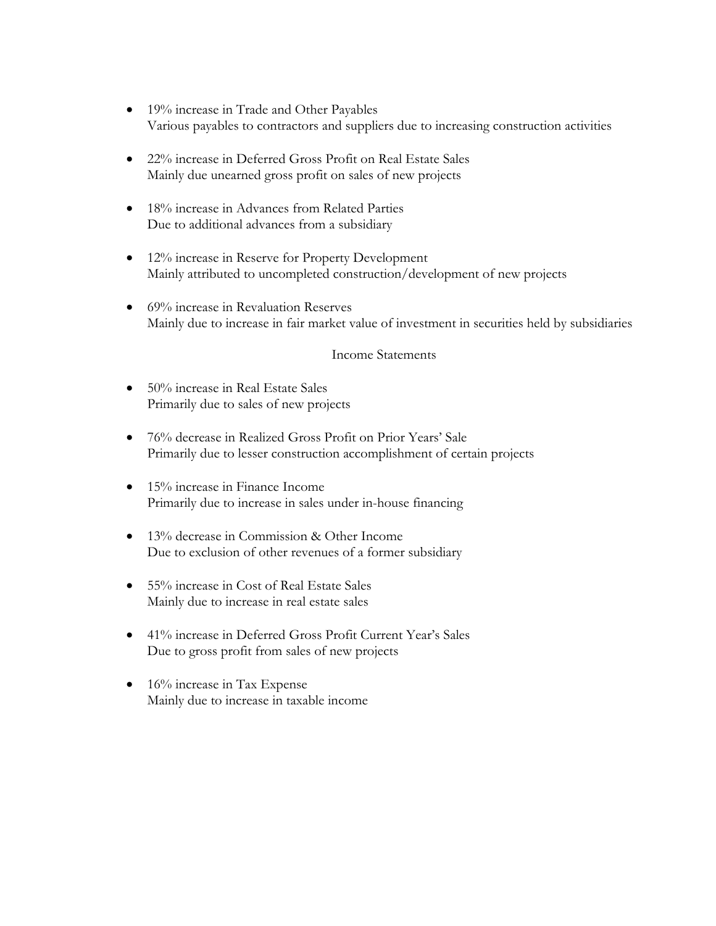- 19% increase in Trade and Other Payables Various payables to contractors and suppliers due to increasing construction activities
- 22% increase in Deferred Gross Profit on Real Estate Sales Mainly due unearned gross profit on sales of new projects
- 18% increase in Advances from Related Parties Due to additional advances from a subsidiary
- 12% increase in Reserve for Property Development Mainly attributed to uncompleted construction/development of new projects
- 69% increase in Revaluation Reserves Mainly due to increase in fair market value of investment in securities held by subsidiaries

### Income Statements

- 50% increase in Real Estate Sales Primarily due to sales of new projects
- 76% decrease in Realized Gross Profit on Prior Years' Sale Primarily due to lesser construction accomplishment of certain projects
- 15% increase in Finance Income Primarily due to increase in sales under in-house financing
- 13% decrease in Commission & Other Income Due to exclusion of other revenues of a former subsidiary
- 55% increase in Cost of Real Estate Sales Mainly due to increase in real estate sales
- 41% increase in Deferred Gross Profit Current Year's Sales Due to gross profit from sales of new projects
- 16% increase in Tax Expense Mainly due to increase in taxable income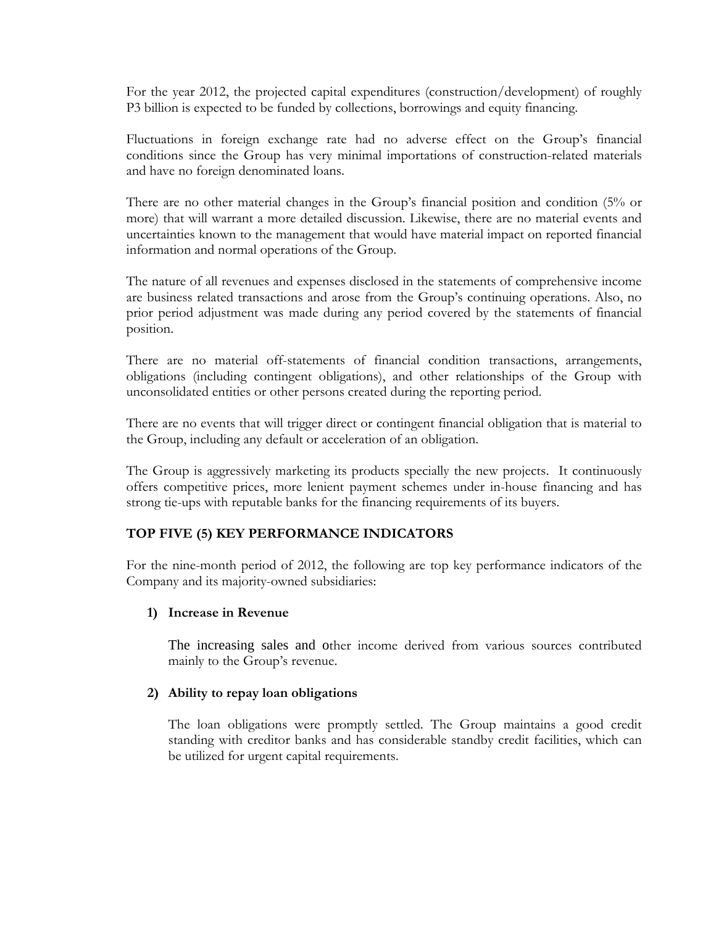For the year 2012, the projected capital expenditures (construction/development) of roughly P3 billion is expected to be funded by collections, borrowings and equity financing.

Fluctuations in foreign exchange rate had no adverse effect on the Group's financial conditions since the Group has very minimal importations of construction-related materials and have no foreign denominated loans.

There are no other material changes in the Group's financial position and condition (5% or more) that will warrant a more detailed discussion. Likewise, there are no material events and uncertainties known to the management that would have material impact on reported financial information and normal operations of the Group.

The nature of all revenues and expenses disclosed in the statements of comprehensive income are business related transactions and arose from the Group's continuing operations. Also, no prior period adjustment was made during any period covered by the statements of financial position.

There are no material off-statements of financial condition transactions, arrangements, obligations (including contingent obligations), and other relationships of the Group with unconsolidated entities or other persons created during the reporting period.

There are no events that will trigger direct or contingent financial obligation that is material to the Group, including any default or acceleration of an obligation.

The Group is aggressively marketing its products specially the new projects. It continuously offers competitive prices, more lenient payment schemes under in-house financing and has strong tie-ups with reputable banks for the financing requirements of its buyers.

# **TOP FIVE (5) KEY PERFORMANCE INDICATORS**

For the nine-month period of 2012, the following are top key performance indicators of the Company and its majority-owned subsidiaries:

## **1) Increase in Revenue**

The increasing sales and other income derived from various sources contributed mainly to the Group's revenue.

### **2) Ability to repay loan obligations**

The loan obligations were promptly settled. The Group maintains a good credit standing with creditor banks and has considerable standby credit facilities, which can be utilized for urgent capital requirements.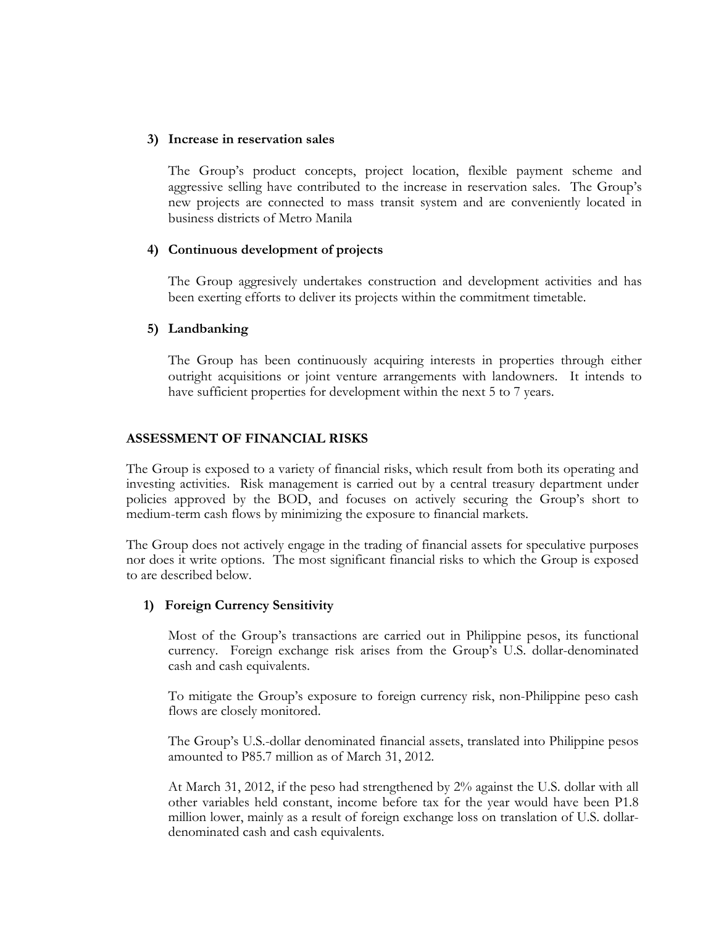### **3) Increase in reservation sales**

The Group's product concepts, project location, flexible payment scheme and aggressive selling have contributed to the increase in reservation sales. The Group's new projects are connected to mass transit system and are conveniently located in business districts of Metro Manila

## **4) Continuous development of projects**

The Group aggresively undertakes construction and development activities and has been exerting efforts to deliver its projects within the commitment timetable.

## **5) Landbanking**

The Group has been continuously acquiring interests in properties through either outright acquisitions or joint venture arrangements with landowners. It intends to have sufficient properties for development within the next 5 to 7 years.

## **ASSESSMENT OF FINANCIAL RISKS**

The Group is exposed to a variety of financial risks, which result from both its operating and investing activities. Risk management is carried out by a central treasury department under policies approved by the BOD, and focuses on actively securing the Group's short to medium-term cash flows by minimizing the exposure to financial markets.

The Group does not actively engage in the trading of financial assets for speculative purposes nor does it write options. The most significant financial risks to which the Group is exposed to are described below.

## **1) Foreign Currency Sensitivity**

Most of the Group's transactions are carried out in Philippine pesos, its functional currency. Foreign exchange risk arises from the Group's U.S. dollar-denominated cash and cash equivalents.

To mitigate the Group's exposure to foreign currency risk, non-Philippine peso cash flows are closely monitored.

The Group's U.S.-dollar denominated financial assets, translated into Philippine pesos amounted to P85.7 million as of March 31, 2012.

At March 31, 2012, if the peso had strengthened by 2% against the U.S. dollar with all other variables held constant, income before tax for the year would have been P1.8 million lower, mainly as a result of foreign exchange loss on translation of U.S. dollardenominated cash and cash equivalents.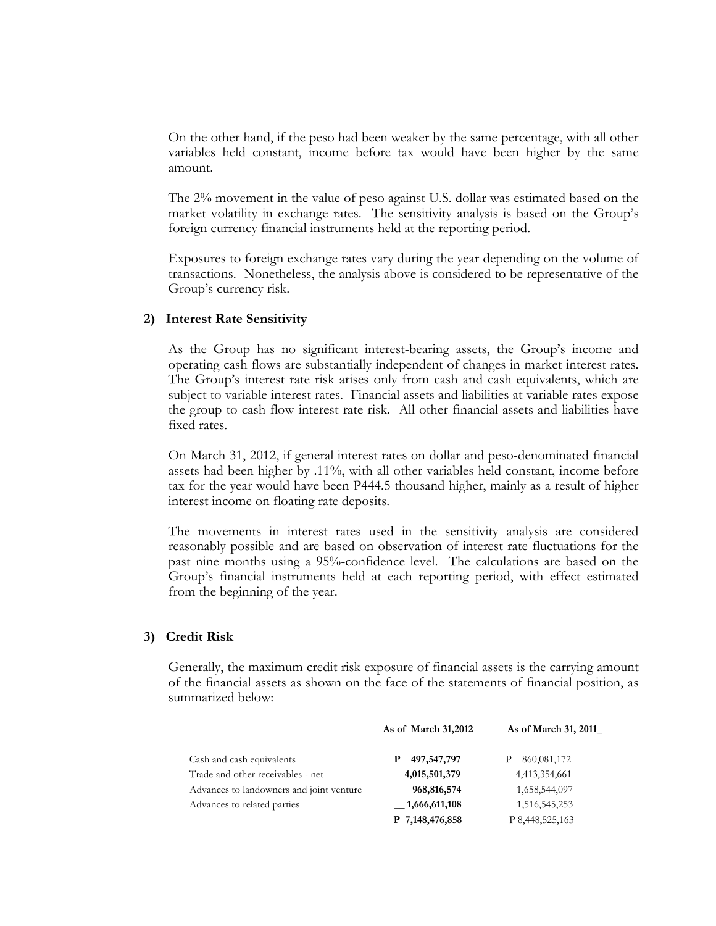On the other hand, if the peso had been weaker by the same percentage, with all other variables held constant, income before tax would have been higher by the same amount.

The 2% movement in the value of peso against U.S. dollar was estimated based on the market volatility in exchange rates. The sensitivity analysis is based on the Group's foreign currency financial instruments held at the reporting period.

Exposures to foreign exchange rates vary during the year depending on the volume of transactions. Nonetheless, the analysis above is considered to be representative of the Group's currency risk.

#### **2) Interest Rate Sensitivity**

As the Group has no significant interest-bearing assets, the Group's income and operating cash flows are substantially independent of changes in market interest rates. The Group's interest rate risk arises only from cash and cash equivalents, which are subject to variable interest rates. Financial assets and liabilities at variable rates expose the group to cash flow interest rate risk. All other financial assets and liabilities have fixed rates.

On March 31, 2012, if general interest rates on dollar and peso-denominated financial assets had been higher by .11%, with all other variables held constant, income before tax for the year would have been P444.5 thousand higher, mainly as a result of higher interest income on floating rate deposits.

The movements in interest rates used in the sensitivity analysis are considered reasonably possible and are based on observation of interest rate fluctuations for the past nine months using a 95%-confidence level. The calculations are based on the Group's financial instruments held at each reporting period, with effect estimated from the beginning of the year.

### **3) Credit Risk**

Generally, the maximum credit risk exposure of financial assets is the carrying amount of the financial assets as shown on the face of the statements of financial position, as summarized below:

|                                          | As of March 31,2012  | As of March 31, 2011   |
|------------------------------------------|----------------------|------------------------|
| Cash and cash equivalents                | 497,547,797          | 860,081,172            |
| Trade and other receivables - net        | 4,015,501,379        | 4,413,354,661          |
| Advances to landowners and joint venture | 968,816,574          | 1,658,544,097          |
| Advances to related parties              | 1,666,611,108        | 1,516,545,253          |
|                                          | <u>7,148,476,858</u> | <u>P 8,448,525,163</u> |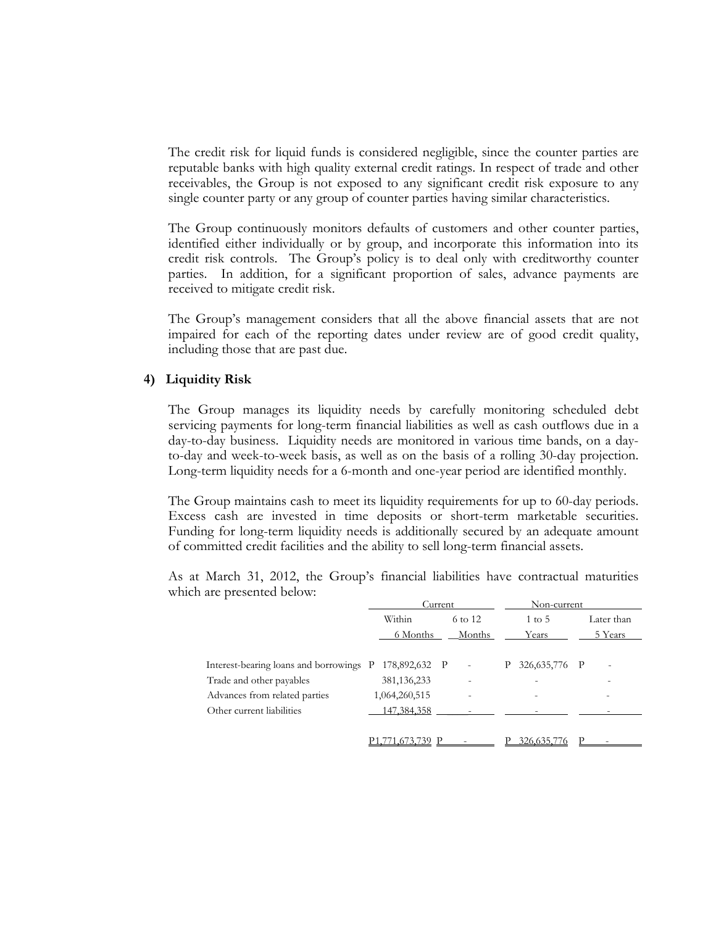The credit risk for liquid funds is considered negligible, since the counter parties are reputable banks with high quality external credit ratings. In respect of trade and other receivables, the Group is not exposed to any significant credit risk exposure to any single counter party or any group of counter parties having similar characteristics.

The Group continuously monitors defaults of customers and other counter parties, identified either individually or by group, and incorporate this information into its credit risk controls. The Group's policy is to deal only with creditworthy counter parties. In addition, for a significant proportion of sales, advance payments are received to mitigate credit risk.

The Group's management considers that all the above financial assets that are not impaired for each of the reporting dates under review are of good credit quality, including those that are past due.

### **4) Liquidity Risk**

The Group manages its liquidity needs by carefully monitoring scheduled debt servicing payments for long-term financial liabilities as well as cash outflows due in a day-to-day business. Liquidity needs are monitored in various time bands, on a dayto-day and week-to-week basis, as well as on the basis of a rolling 30-day projection. Long-term liquidity needs for a 6-month and one-year period are identified monthly.

The Group maintains cash to meet its liquidity requirements for up to 60-day periods. Excess cash are invested in time deposits or short-term marketable securities. Funding for long-term liquidity needs is additionally secured by an adequate amount of committed credit facilities and the ability to sell long-term financial assets.

As at March 31, 2012, the Group's financial liabilities have contractual maturities which are presented below:

|                                         |               | Current |                          |   | Non-current              |                          |  |
|-----------------------------------------|---------------|---------|--------------------------|---|--------------------------|--------------------------|--|
|                                         | Within        |         | 6 to 12                  |   | $1 \text{ to } 5$        | Later than               |  |
|                                         | 6 Months      |         | Months                   |   | Years                    | 5 Years                  |  |
|                                         |               |         |                          |   |                          |                          |  |
| Interest-bearing loans and borrowings P | 178,892,632 P |         | $\overline{\phantom{a}}$ | P | 326, 635, 776 P          |                          |  |
| Trade and other payables                | 381, 136, 233 |         |                          |   |                          |                          |  |
| Advances from related parties           | 1,064,260,515 |         |                          |   | $\overline{\phantom{0}}$ | $\overline{\phantom{0}}$ |  |
| Other current liabilities               | 147,384,358   |         |                          |   |                          |                          |  |
|                                         |               |         |                          |   |                          |                          |  |
|                                         | 39            |         |                          |   | 326,635.7                |                          |  |
|                                         |               |         |                          |   |                          |                          |  |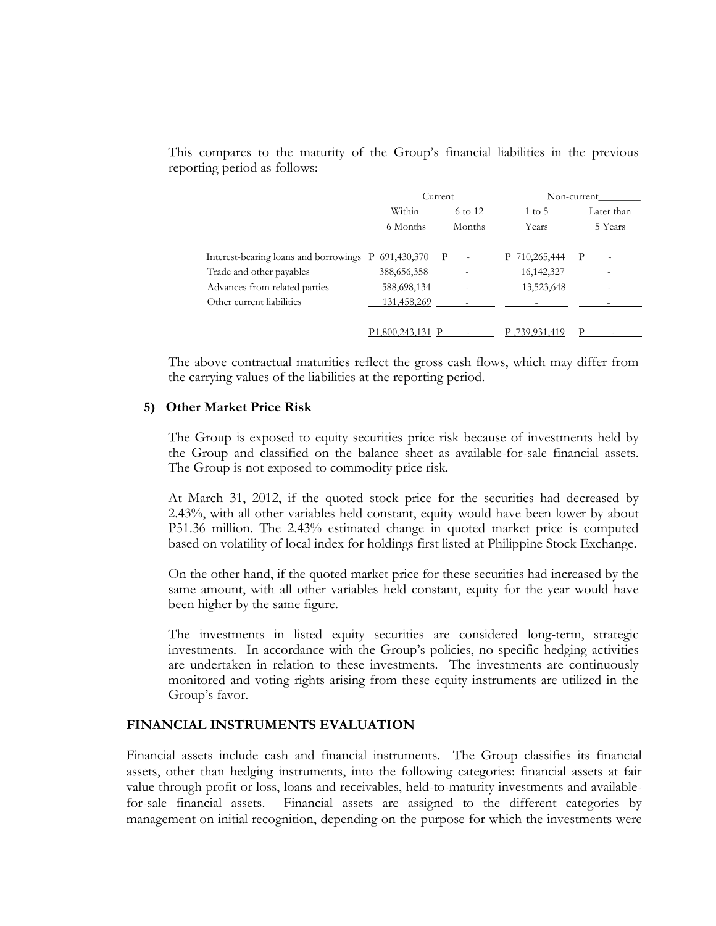This compares to the maturity of the Group's financial liabilities in the previous reporting period as follows:

|                                                     |               | Current                |                   | Non-current                   |  |  |
|-----------------------------------------------------|---------------|------------------------|-------------------|-------------------------------|--|--|
|                                                     | Within        | 6 to 12                | $1 \text{ to } 5$ | Later than                    |  |  |
|                                                     | 6 Months      | Months                 | Years             | 5 Years                       |  |  |
|                                                     |               |                        |                   |                               |  |  |
| Interest-bearing loans and borrowings P 691,430,370 |               | $\mathbf{P}$<br>$\sim$ | P 710,265,444     | P<br>$\overline{\phantom{a}}$ |  |  |
| Trade and other payables                            | 388, 656, 358 |                        | 16, 142, 327      |                               |  |  |
| Advances from related parties                       | 588,698,134   |                        | 13,523,648        |                               |  |  |
| Other current liabilities                           | 131,458,269   |                        |                   |                               |  |  |
|                                                     |               |                        |                   |                               |  |  |
|                                                     | ,800,243,131  |                        | 739.931.419       |                               |  |  |

The above contractual maturities reflect the gross cash flows, which may differ from the carrying values of the liabilities at the reporting period.

#### **5) Other Market Price Risk**

The Group is exposed to equity securities price risk because of investments held by the Group and classified on the balance sheet as available-for-sale financial assets. The Group is not exposed to commodity price risk.

At March 31, 2012, if the quoted stock price for the securities had decreased by 2.43%, with all other variables held constant, equity would have been lower by about P51.36 million. The 2.43% estimated change in quoted market price is computed based on volatility of local index for holdings first listed at Philippine Stock Exchange.

On the other hand, if the quoted market price for these securities had increased by the same amount, with all other variables held constant, equity for the year would have been higher by the same figure.

The investments in listed equity securities are considered long-term, strategic investments. In accordance with the Group's policies, no specific hedging activities are undertaken in relation to these investments. The investments are continuously monitored and voting rights arising from these equity instruments are utilized in the Group's favor.

#### **FINANCIAL INSTRUMENTS EVALUATION**

Financial assets include cash and financial instruments. The Group classifies its financial assets, other than hedging instruments, into the following categories: financial assets at fair value through profit or loss, loans and receivables, held-to-maturity investments and availablefor-sale financial assets. Financial assets are assigned to the different categories by management on initial recognition, depending on the purpose for which the investments were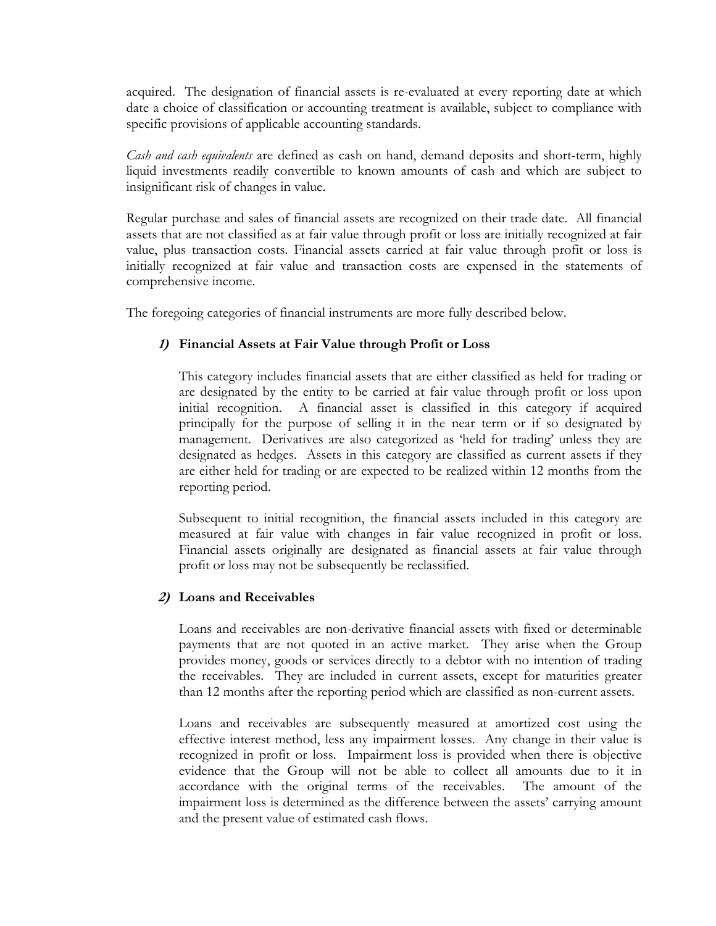acquired. The designation of financial assets is re-evaluated at every reporting date at which date a choice of classification or accounting treatment is available, subject to compliance with specific provisions of applicable accounting standards.

*Cash and cash equivalents* are defined as cash on hand, demand deposits and short-term, highly liquid investments readily convertible to known amounts of cash and which are subject to insignificant risk of changes in value.

Regular purchase and sales of financial assets are recognized on their trade date. All financial assets that are not classified as at fair value through profit or loss are initially recognized at fair value, plus transaction costs. Financial assets carried at fair value through profit or loss is initially recognized at fair value and transaction costs are expensed in the statements of comprehensive income.

The foregoing categories of financial instruments are more fully described below.

# **1) Financial Assets at Fair Value through Profit or Loss**

 This category includes financial assets that are either classified as held for trading or are designated by the entity to be carried at fair value through profit or loss upon initial recognition. A financial asset is classified in this category if acquired principally for the purpose of selling it in the near term or if so designated by management. Derivatives are also categorized as 'held for trading' unless they are designated as hedges. Assets in this category are classified as current assets if they are either held for trading or are expected to be realized within 12 months from the reporting period.

 Subsequent to initial recognition, the financial assets included in this category are measured at fair value with changes in fair value recognized in profit or loss. Financial assets originally are designated as financial assets at fair value through profit or loss may not be subsequently be reclassified.

# **2) Loans and Receivables**

Loans and receivables are non-derivative financial assets with fixed or determinable payments that are not quoted in an active market. They arise when the Group provides money, goods or services directly to a debtor with no intention of trading the receivables. They are included in current assets, except for maturities greater than 12 months after the reporting period which are classified as non-current assets.

 Loans and receivables are subsequently measured at amortized cost using the effective interest method, less any impairment losses. Any change in their value is recognized in profit or loss. Impairment loss is provided when there is objective evidence that the Group will not be able to collect all amounts due to it in accordance with the original terms of the receivables. The amount of the impairment loss is determined as the difference between the assets' carrying amount and the present value of estimated cash flows.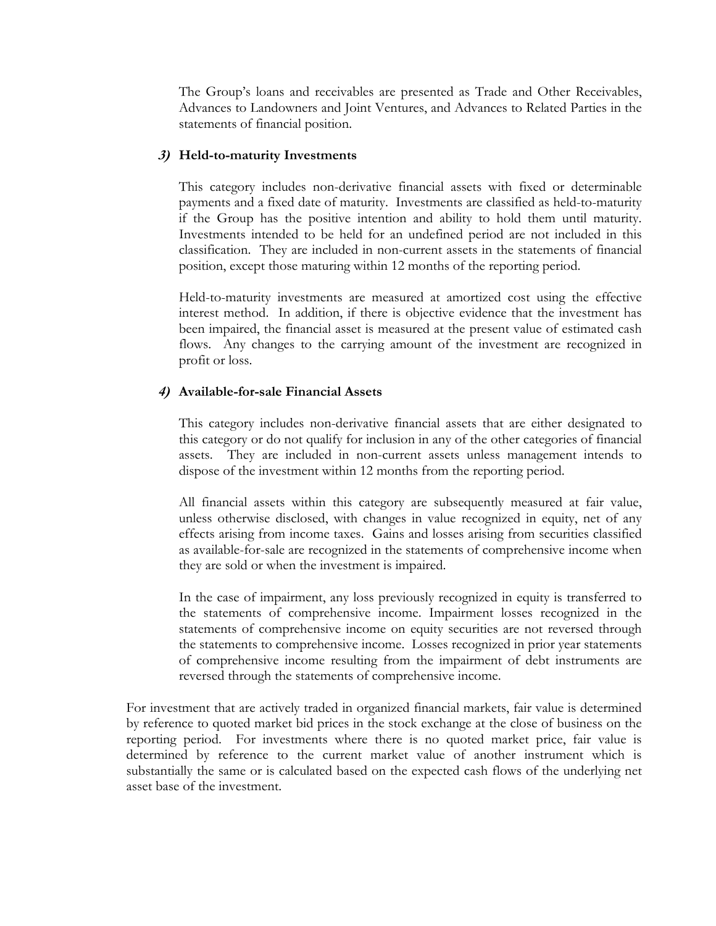The Group's loans and receivables are presented as Trade and Other Receivables, Advances to Landowners and Joint Ventures, and Advances to Related Parties in the statements of financial position.

### **3) Held-to-maturity Investments**

This category includes non-derivative financial assets with fixed or determinable payments and a fixed date of maturity. Investments are classified as held-to-maturity if the Group has the positive intention and ability to hold them until maturity. Investments intended to be held for an undefined period are not included in this classification. They are included in non-current assets in the statements of financial position, except those maturing within 12 months of the reporting period.

 Held-to-maturity investments are measured at amortized cost using the effective interest method. In addition, if there is objective evidence that the investment has been impaired, the financial asset is measured at the present value of estimated cash flows. Any changes to the carrying amount of the investment are recognized in profit or loss.

## **4) Available-for-sale Financial Assets**

This category includes non-derivative financial assets that are either designated to this category or do not qualify for inclusion in any of the other categories of financial assets. They are included in non-current assets unless management intends to dispose of the investment within 12 months from the reporting period.

All financial assets within this category are subsequently measured at fair value, unless otherwise disclosed, with changes in value recognized in equity, net of any effects arising from income taxes. Gains and losses arising from securities classified as available-for-sale are recognized in the statements of comprehensive income when they are sold or when the investment is impaired.

In the case of impairment, any loss previously recognized in equity is transferred to the statements of comprehensive income. Impairment losses recognized in the statements of comprehensive income on equity securities are not reversed through the statements to comprehensive income. Losses recognized in prior year statements of comprehensive income resulting from the impairment of debt instruments are reversed through the statements of comprehensive income.

For investment that are actively traded in organized financial markets, fair value is determined by reference to quoted market bid prices in the stock exchange at the close of business on the reporting period. For investments where there is no quoted market price, fair value is determined by reference to the current market value of another instrument which is substantially the same or is calculated based on the expected cash flows of the underlying net asset base of the investment.